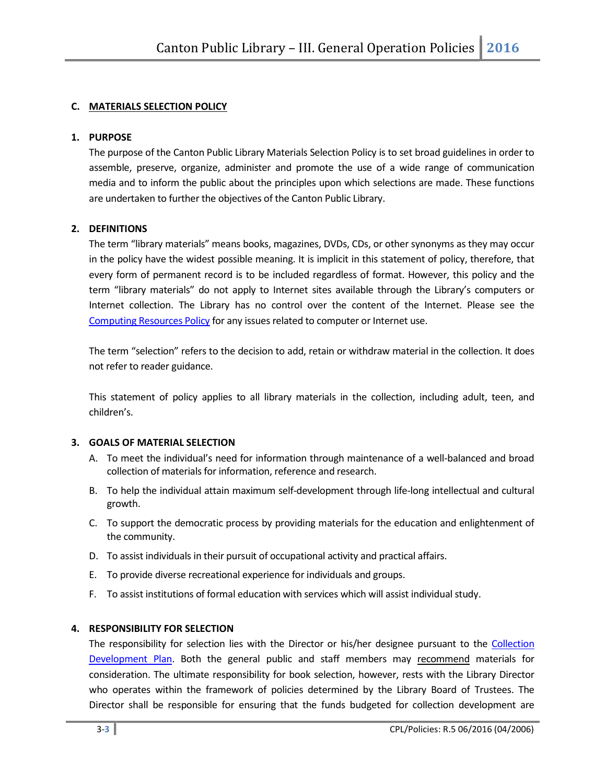# C. MATERIALS SELECTION POLICY

#### 1. PURPOSE

The purpose of the Canton Public Library Materials Selection Policy is to set broad guidelines in order to assemble, preserve, organize, administer and promote the use of a wide range of communication media and to inform the public about the principles upon which selections are made. These functions are undertaken to further the objectives of the Canton Public Library.

#### 2. DEFINITIONS

The term "library materials" means books, magazines, DVDs, CDs, or other synonyms as they may occur in the policy have the widest possible meaning. It is implicit in this statement of policy, therefore, that every form of permanent record is to be included regardless of format. However, this policy and the term "library materials" do not apply to Internet sites available through the Library's computers or Internet collection. The Library has no control over the content of the Internet. Please see the Computing Resources Policy for any issues related to computer or Internet use.

The term "selection" refers to the decision to add, retain or withdraw material in the collection. It does not refer to reader guidance.

This statement of policy applies to all library materials in the collection, including adult, teen, and children's.

#### 3. GOALS OF MATERIAL SELECTION

- A. To meet the individual's need for information through maintenance of a well-balanced and broad collection of materials for information, reference and research.
- B. To help the individual attain maximum self-development through life-long intellectual and cultural growth.
- C. To support the democratic process by providing materials for the education and enlightenment of the community.
- D. To assist individuals in their pursuit of occupational activity and practical affairs.
- E. To provide diverse recreational experience for individuals and groups.
- F. To assist institutions of formal education with services which will assist individual study.

#### 4. RESPONSIBILITY FOR SELECTION

The responsibility for selection lies with the Director or his/her designee pursuant to the Collection Development Plan. Both the general public and staff members may recommend materials for consideration. The ultimate responsibility for book selection, however, rests with the Library Director who operates within the framework of policies determined by the Library Board of Trustees. The Director shall be responsible for ensuring that the funds budgeted for collection development are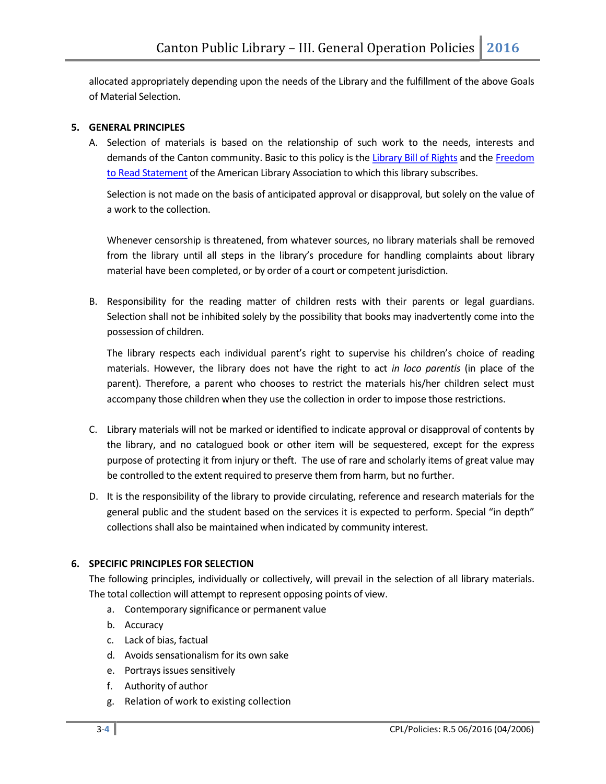allocated appropriately depending upon the needs of the Library and the fulfillment of the above Goals of Material Selection.

# 5. GENERAL PRINCIPLES

A. Selection of materials is based on the relationship of such work to the needs, interests and demands of the Canton community. Basic to this policy is the Library Bill of Rights and the Freedom to Read Statement of the American Library Association to which this library subscribes.

Selection is not made on the basis of anticipated approval or disapproval, but solely on the value of a work to the collection.

Whenever censorship is threatened, from whatever sources, no library materials shall be removed from the library until all steps in the library's procedure for handling complaints about library material have been completed, or by order of a court or competent jurisdiction.

B. Responsibility for the reading matter of children rests with their parents or legal guardians. Selection shall not be inhibited solely by the possibility that books may inadvertently come into the possession of children.

The library respects each individual parent's right to supervise his children's choice of reading materials. However, the library does not have the right to act in loco parentis (in place of the parent). Therefore, a parent who chooses to restrict the materials his/her children select must accompany those children when they use the collection in order to impose those restrictions.

- C. Library materials will not be marked or identified to indicate approval or disapproval of contents by the library, and no catalogued book or other item will be sequestered, except for the express purpose of protecting it from injury or theft. The use of rare and scholarly items of great value may be controlled to the extent required to preserve them from harm, but no further.
- D. It is the responsibility of the library to provide circulating, reference and research materials for the general public and the student based on the services it is expected to perform. Special "in depth" collections shall also be maintained when indicated by community interest.

#### 6. SPECIFIC PRINCIPLES FOR SELECTION

The following principles, individually or collectively, will prevail in the selection of all library materials. The total collection will attempt to represent opposing points of view.

- a. Contemporary significance or permanent value
- b. Accuracy
- c. Lack of bias, factual
- d. Avoids sensationalism for its own sake
- e. Portrays issues sensitively
- f. Authority of author
- g. Relation of work to existing collection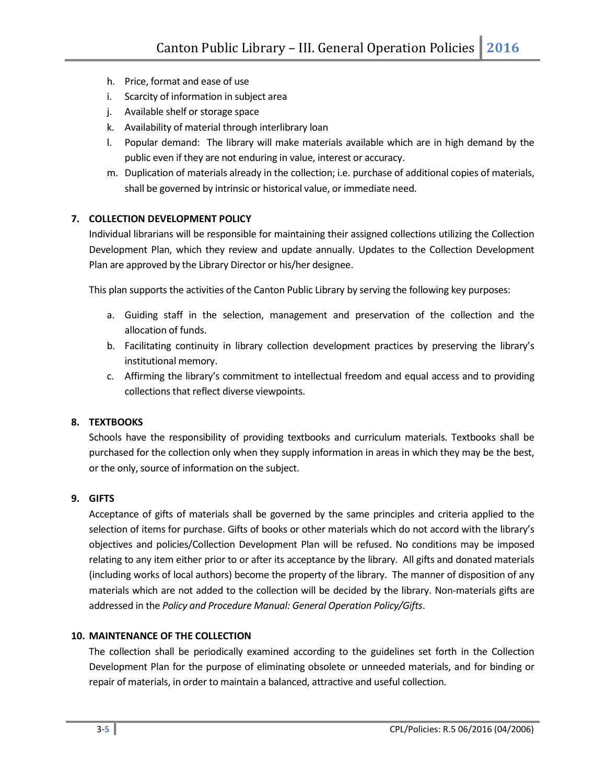- h. Price, format and ease of use
- i. Scarcity of information in subject area
- j. Available shelf or storage space
- k. Availability of material through interlibrary loan
- l. Popular demand: The library will make materials available which are in high demand by the public even if they are not enduring in value, interest or accuracy.
- m. Duplication of materials already in the collection; i.e. purchase of additional copies of materials, shall be governed by intrinsic or historical value, or immediate need.

# 7. COLLECTION DEVELOPMENT POLICY

Individual librarians will be responsible for maintaining their assigned collections utilizing the Collection Development Plan, which they review and update annually. Updates to the Collection Development Plan are approved by the Library Director or his/her designee.

This plan supports the activities of the Canton Public Library by serving the following key purposes:

- a. Guiding staff in the selection, management and preservation of the collection and the allocation of funds.
- b. Facilitating continuity in library collection development practices by preserving the library's institutional memory.
- c. Affirming the library's commitment to intellectual freedom and equal access and to providing collections that reflect diverse viewpoints.

# 8. TEXTBOOKS

Schools have the responsibility of providing textbooks and curriculum materials. Textbooks shall be purchased for the collection only when they supply information in areas in which they may be the best, or the only, source of information on the subject.

### 9. GIFTS

Acceptance of gifts of materials shall be governed by the same principles and criteria applied to the selection of items for purchase. Gifts of books or other materials which do not accord with the library's objectives and policies/Collection Development Plan will be refused. No conditions may be imposed relating to any item either prior to or after its acceptance by the library. All gifts and donated materials (including works of local authors) become the property of the library. The manner of disposition of any materials which are not added to the collection will be decided by the library. Non-materials gifts are addressed in the Policy and Procedure Manual: General Operation Policy/Gifts.

### 10. MAINTENANCE OF THE COLLECTION

The collection shall be periodically examined according to the guidelines set forth in the Collection Development Plan for the purpose of eliminating obsolete or unneeded materials, and for binding or repair of materials, in order to maintain a balanced, attractive and useful collection.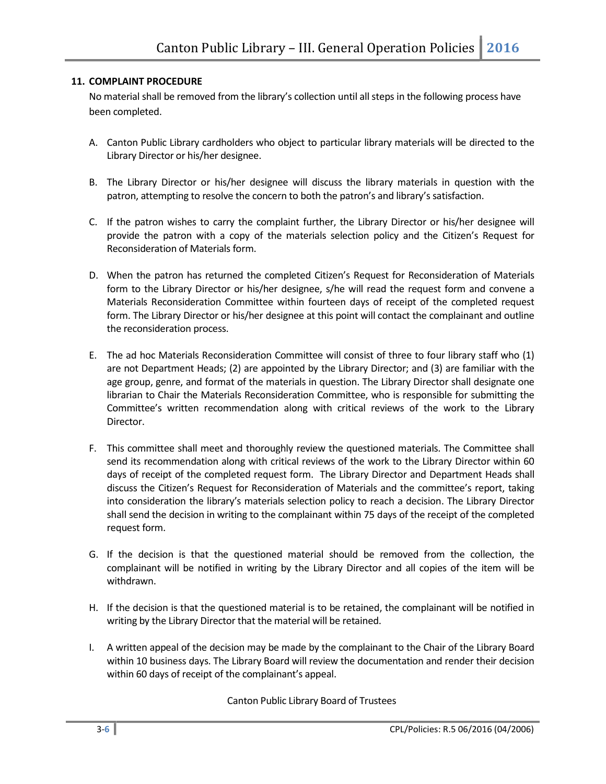# 11. COMPLAINT PROCEDURE

No material shall be removed from the library's collection until all steps in the following process have been completed.

- A. Canton Public Library cardholders who object to particular library materials will be directed to the Library Director or his/her designee.
- B. The Library Director or his/her designee will discuss the library materials in question with the patron, attempting to resolve the concern to both the patron's and library's satisfaction.
- C. If the patron wishes to carry the complaint further, the Library Director or his/her designee will provide the patron with a copy of the materials selection policy and the Citizen's Request for Reconsideration of Materials form.
- D. When the patron has returned the completed Citizen's Request for Reconsideration of Materials form to the Library Director or his/her designee, s/he will read the request form and convene a Materials Reconsideration Committee within fourteen days of receipt of the completed request form. The Library Director or his/her designee at this point will contact the complainant and outline the reconsideration process.
- E. The ad hoc Materials Reconsideration Committee will consist of three to four library staff who (1) are not Department Heads; (2) are appointed by the Library Director; and (3) are familiar with the age group, genre, and format of the materials in question. The Library Director shall designate one librarian to Chair the Materials Reconsideration Committee, who is responsible for submitting the Committee's written recommendation along with critical reviews of the work to the Library Director.
- F. This committee shall meet and thoroughly review the questioned materials. The Committee shall send its recommendation along with critical reviews of the work to the Library Director within 60 days of receipt of the completed request form. The Library Director and Department Heads shall discuss the Citizen's Request for Reconsideration of Materials and the committee's report, taking into consideration the library's materials selection policy to reach a decision. The Library Director shall send the decision in writing to the complainant within 75 days of the receipt of the completed request form.
- G. If the decision is that the questioned material should be removed from the collection, the complainant will be notified in writing by the Library Director and all copies of the item will be withdrawn.
- H. If the decision is that the questioned material is to be retained, the complainant will be notified in writing by the Library Director that the material will be retained.
- I. A written appeal of the decision may be made by the complainant to the Chair of the Library Board within 10 business days. The Library Board will review the documentation and render their decision within 60 days of receipt of the complainant's appeal.

Canton Public Library Board of Trustees